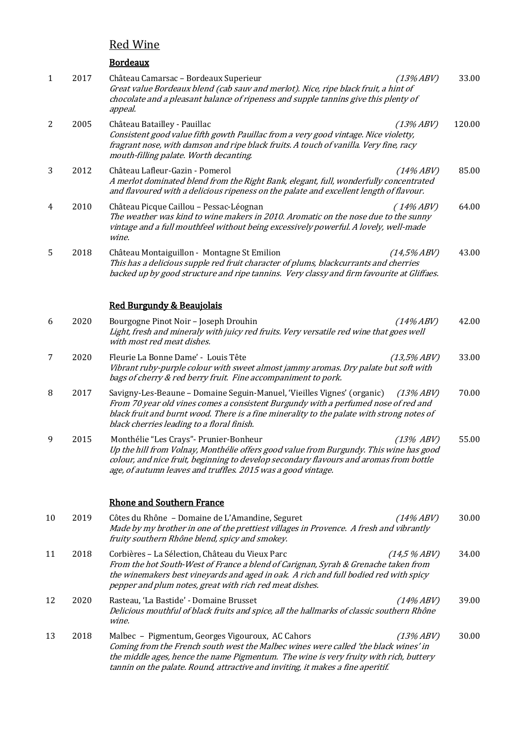# **Red Wine**

|              |      | <b>Bordeaux</b>                                                                                                                                                                                                                                                                                                         |        |
|--------------|------|-------------------------------------------------------------------------------------------------------------------------------------------------------------------------------------------------------------------------------------------------------------------------------------------------------------------------|--------|
| $\mathbf{1}$ | 2017 | Château Camarsac - Bordeaux Superieur<br>$(13\% ABV)$<br>Great value Bordeaux blend (cab sauv and merlot). Nice, ripe black fruit, a hint of<br>chocolate and a pleasant balance of ripeness and supple tannins give this plenty of<br>appeal.                                                                          | 33.00  |
| 2            | 2005 | Château Batailley - Pauillac<br>$(13\% ABV)$<br>Consistent good value fifth gowth Pauillac from a very good vintage. Nice violetty,<br>fragrant nose, with damson and ripe black fruits. A touch of vanilla. Very fine, racy<br>mouth-filling palate. Worth decanting.                                                  | 120.00 |
| 3            | 2012 | Château Lafleur-Gazin - Pomerol<br>$(14\% ABV)$<br>A merlot dominated blend from the Right Bank, elegant, full, wonderfully concentrated<br>and flavoured with a delicious ripeness on the palate and excellent length of flavour.                                                                                      | 85.00  |
| 4            | 2010 | Château Picque Caillou - Pessac-Léognan<br>$(14\%ABV)$<br>The weather was kind to wine makers in 2010. Aromatic on the nose due to the sunny<br>vintage and a full mouthfeel without being excessively powerful. A lovely, well-made<br>wine.                                                                           | 64.00  |
| 5            | 2018 | Château Montaiguillon - Montagne St Emilion<br>$(14,5\% ABV)$<br>This has a delicious supple red fruit character of plums, blackcurrants and cherries<br>backed up by good structure and ripe tannins. Very classy and firm favourite at Gliffaes.                                                                      | 43.00  |
|              |      | <b>Red Burgundy &amp; Beaujolais</b>                                                                                                                                                                                                                                                                                    |        |
| 6            | 2020 | Bourgogne Pinot Noir - Joseph Drouhin<br>$(14\% ABV)$<br>Light, fresh and mineraly with juicy red fruits. Very versatile red wine that goes well<br>with most red meat dishes.                                                                                                                                          | 42.00  |
| 7            | 2020 | Fleurie La Bonne Dame' - Louis Tête<br>$(13,5\% ABV)$<br>Vibrant ruby-purple colour with sweet almost jammy aromas. Dry palate but soft with<br>bags of cherry & red berry fruit. Fine accompaniment to pork.                                                                                                           | 33.00  |
| 8            | 2017 | Savigny-Les-Beaune - Domaine Seguin-Manuel, 'Vieilles Vignes' (organic)<br>$(13\%ABV)$<br>From 70 year old vines comes a consistent Burgundy with a perfumed nose of red and<br>black fruit and burnt wood. There is a fine minerality to the palate with strong notes of<br>black cherries leading to a floral finish. | 70.00  |
| 9            | 2015 | Monthélie "Les Crays" - Prunier-Bonheur<br>$(13\%$ ABV)<br>Up the hill from Volnay, Monthélie offers good value from Burgundy. This wine has good<br>colour, and nice fruit, beginning to develop secondary flavours and aromas from bottle<br>age, of autumn leaves and truffles. 2015 was a good vintage.             | 55.00  |
|              |      | <b>Rhone and Southern France</b>                                                                                                                                                                                                                                                                                        |        |
| 10           | 2019 | Côtes du Rhône - Domaine de L'Amandine, Seguret<br>$(14\% ABV)$<br>Made by my brother in one of the prettiest villages in Provence. A fresh and vibrantly<br>fruity southern Rhône blend, spicy and smokey.                                                                                                             | 30.00  |
| 11           | 2018 | Corbières - La Sélection, Château du Vieux Parc<br>$(14.5\%ABV)$<br>From the hot South-West of France a blend of Carignan, Syrah & Grenache taken from<br>the winemakers best vineyards and aged in oak. A rich and full bodied red with spicy<br>pepper and plum notes, great with rich red meat dishes.               | 34.00  |
| 12           | 2020 | Rasteau, 'La Bastide' - Domaine Brusset<br>$(14\%ABV)$<br>Delicious mouthful of black fruits and spice, all the hallmarks of classic southern Rhône<br>wine.                                                                                                                                                            | 39.00  |
| 13           | 2018 | Malbec - Pigmentum, Georges Vigouroux, AC Cahors<br>$(13\%ABV)$<br>Coming from the French south west the Malbec wines were called 'the black wines' in                                                                                                                                                                  | 30.00  |

the middle ages, hence the name Pigmentum. The wine is very fruity with rich, buttery

tannin on the palate. Round, attractive and inviting, it makes a fine aperitif.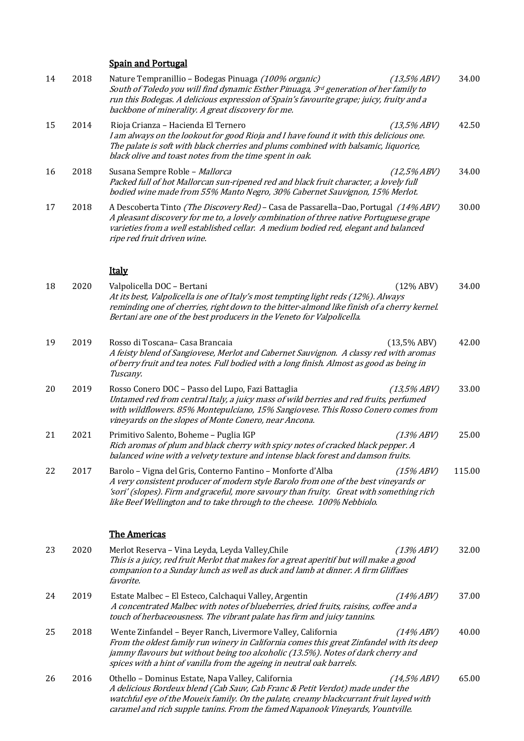## **Spain and Portugal**

| 14 | 2018 | Nature Tempranillio - Bodegas Pinuaga (100% organic)<br>(13,5%ABV)<br>South of Toledo you will find dynamic Esther Pinuaga, 3rd generation of her family to<br>run this Bodegas. A delicious expression of Spain's favourite grape; juicy, fruity and a<br>backbone of minerality. A great discovery for me.                            | 34.00  |
|----|------|-----------------------------------------------------------------------------------------------------------------------------------------------------------------------------------------------------------------------------------------------------------------------------------------------------------------------------------------|--------|
| 15 | 2014 | Rioja Crianza - Hacienda El Ternero<br>(13,5%ABV)<br>I am always on the lookout for good Rioja and I have found it with this delicious one.<br>The palate is soft with black cherries and plums combined with balsamic, liquorice,<br>black olive and toast notes from the time spent in oak.                                           | 42.50  |
| 16 | 2018 | Susana Sempre Roble - Mallorca<br>(12,5%ABV)<br>Packed full of hot Mallorcan sun-ripened red and black fruit character, a lovely full<br>bodied wine made from 55% Manto Negro, 30% Cabernet Sauvignon, 15% Merlot.                                                                                                                     | 34.00  |
| 17 | 2018 | A Descoberta Tinto (The Discovery Red) - Casa de Passarella-Dao, Portugal (14% ABV)<br>A pleasant discovery for me to, a lovely combination of three native Portuguese grape<br>varieties from a well established cellar. A medium bodied red, elegant and balanced<br>ripe red fruit driven wine.                                      | 30.00  |
|    |      | <b>Italy</b>                                                                                                                                                                                                                                                                                                                            |        |
| 18 | 2020 | Valpolicella DOC - Bertani<br>$(12\%$ ABV)<br>At its best, Valpolicella is one of Italy's most tempting light reds (12%). Always<br>reminding one of cherries, right down to the bitter-almond like finish of a cherry kernel.<br>Bertani are one of the best producers in the Veneto for Valpolicella.                                 | 34.00  |
| 19 | 2019 | (13,5%ABV)<br>Rosso di Toscana- Casa Brancaia<br>A feisty blend of Sangiovese, Merlot and Cabernet Sauvignon. A classy red with aromas<br>of berry fruit and tea notes. Full bodied with a long finish. Almost as good as being in<br>Tuscany.                                                                                          | 42.00  |
| 20 | 2019 | Rosso Conero DOC - Passo del Lupo, Fazi Battaglia<br>(13,5%ABV)<br>Untamed red from central Italy, a juicy mass of wild berries and red fruits, perfumed<br>with wildflowers. 85% Montepulciano, 15% Sangiovese. This Rosso Conero comes from<br>vineyards on the slopes of Monte Conero, near Ancona.                                  | 33.00  |
| 21 | 2021 | Primitivo Salento, Boheme - Puglia IGP<br>$(13\% ABV)$<br>Rich aromas of plum and black cherry with spicy notes of cracked black pepper. A<br>balanced wine with a velvety texture and intense black forest and damson fruits.                                                                                                          | 25.00  |
| 22 | 2017 | Barolo - Vigna del Gris, Conterno Fantino - Monforte d'Alba<br>$(15\% ABV)$<br>A very consistent producer of modern style Barolo from one of the best vineyards or<br>'sori' (slopes). Firm and graceful, more savoury than fruity. Great with something rich<br>like Beef Wellington and to take through to the cheese. 100% Nebbiolo. | 115.00 |
|    |      | <b>The Americas</b>                                                                                                                                                                                                                                                                                                                     |        |
| 23 | 2020 | Merlot Reserva - Vina Leyda, Leyda Valley, Chile<br>$(13\% ABV)$<br>This is a juicy, red fruit Merlot that makes for a great aperitif but will make a good<br>companion to a Sunday lunch as well as duck and lamb at dinner. A firm Gliffaes<br>favorite.                                                                              | 32.00  |
| 24 | 2019 | Estate Malbec - El Esteco, Calchaqui Valley, Argentin<br>$(14\% ABV)$<br>A concentrated Malbec with notes of blueberries, dried fruits, raisins, coffee and a<br>touch of herbaceousness. The vibrant palate has firm and juicy tannins.                                                                                                | 37.00  |
| 25 | 2018 | Wente Zinfandel - Beyer Ranch, Livermore Valley, California<br>$(14\% ABV)$<br>From the oldest family run winery in California comes this great Zinfandel with its deep<br>jammy flavours but without being too alcoholic (13.5%). Notes of dark cherry and<br>spices with a hint of vanilla from the ageing in neutral oak barrels.    | 40.00  |
| 26 | 2016 | Othello - Dominus Estate, Napa Valley, California<br>$(14,5\% ABV)$<br>A delicious Bordeux blend (Cab Sauv, Cab Franc & Petit Verdot) made under the                                                                                                                                                                                    | 65.00  |

watchful eye of the Moueix family. On the palate, creamy blackcurrant fruit layed with caramel and rich supple tanins. From the famed Napanook Vineyards, Yountville.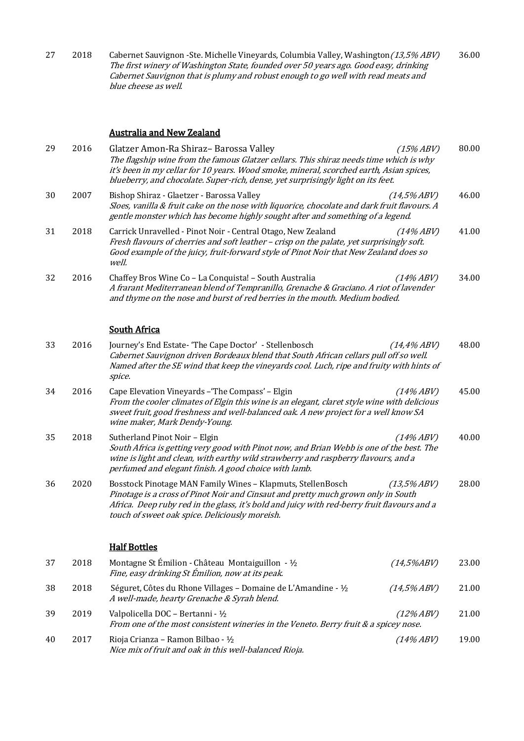27 2018 Cabernet Sauvignon -Ste. Michelle Vineyards, Columbia Valley, Washington(13,5% ABV) The first winery of Washington State, founded over 50 years ago. Good easy, drinking Cabernet Sauvignon that is plumy and robust enough to go well with read meats and blue cheese as well. 36.00

## **Australia and New Zealand**

| 29 | 2016 | Glatzer Amon-Ra Shiraz- Barossa Valley<br>The flagship wine from the famous Glatzer cellars. This shiraz needs time which is why<br>it's been in my cellar for 10 years. Wood smoke, mineral, scorched earth, Asian spices,<br>blueberry, and chocolate. Super-rich, dense, yet surprisingly light on its feet. | $(15\% ABV)$   | 80.00 |
|----|------|-----------------------------------------------------------------------------------------------------------------------------------------------------------------------------------------------------------------------------------------------------------------------------------------------------------------|----------------|-------|
| 30 | 2007 | Bishop Shiraz - Glaetzer - Barossa Valley<br>Sloes, vanilla & fruit cake on the nose with liquorice, chocolate and dark fruit flavours. A<br>gentle monster which has become highly sought after and something of a legend.                                                                                     | $(14,5\% ABV)$ | 46.00 |
| 31 | 2018 | Carrick Unravelled - Pinot Noir - Central Otago, New Zealand<br>Fresh flavours of cherries and soft leather - crisp on the palate, yet surprisingly soft.<br>Good example of the juicy, fruit-forward style of Pinot Noir that New Zealand does so<br>well.                                                     | $(14\% ABV)$   | 41.00 |
| 32 | 2016 | Chaffey Bros Wine Co - La Conquista! - South Australia<br>A frarant Mediterranean blend of Tempranillo, Grenache & Graciano. A riot of lavender<br>and thyme on the nose and burst of red berries in the mouth. Medium bodied.                                                                                  | $(14\% ABV)$   | 34.00 |
|    |      | <b>South Africa</b>                                                                                                                                                                                                                                                                                             |                |       |
| 33 | 2016 | Journey's End Estate- 'The Cape Doctor' - Stellenbosch<br>Cabernet Sauvignon driven Bordeaux blend that South African cellars pull off so well.<br>Named after the SE wind that keep the vineyards cool. Luch, ripe and fruity with hints of<br>spice.                                                          | (14,4%ABV)     | 48.00 |
| 34 | 2016 | Cape Elevation Vineyards - 'The Compass' - Elgin<br>$(14\% ABV)$<br>From the cooler climates of Elgin this wine is an elegant, claret style wine with delicious<br>sweet fruit, good freshness and well-balanced oak. A new project for a well know SA<br>wine maker, Mark Dendy-Young.                         |                | 45.00 |
| 35 | 2018 | Sutherland Pinot Noir - Elgin<br>$(14\% ABV)$<br>South Africa is getting very good with Pinot now, and Brian Webb is one of the best. The<br>wine is light and clean, with earthy wild strawberry and raspberry flavours, and a<br>perfumed and elegant finish. A good choice with lamb.                        |                | 40.00 |
| 36 | 2020 | Bosstock Pinotage MAN Family Wines - Klapmuts, StellenBosch<br>Pinotage is a cross of Pinot Noir and Cinsaut and pretty much grown only in South<br>Africa. Deep ruby red in the glass, it's bold and juicy with red-berry fruit flavours and a<br>touch of sweet oak spice. Deliciously moreish.               | (13,5%ABV)     | 28.00 |
|    |      | <b>Half Bottles</b>                                                                                                                                                                                                                                                                                             |                |       |
| 37 | 2018 | Montagne St Émilion - Château Montaiguillon - 1/2<br>Fine, easy drinking St Émilion, now at its peak.                                                                                                                                                                                                           | $(14,5\%ABV)$  | 23.00 |
| 38 | 2018 | Séguret, Côtes du Rhone Villages - Domaine de L'Amandine - 1/2<br>A well-made, hearty Grenache & Syrah blend.                                                                                                                                                                                                   | $(14,5\% ABV)$ | 21.00 |
| 39 | 2019 | Valpolicella DOC - Bertanni - 1/2<br>From one of the most consistent wineries in the Veneto. Berry fruit & a spicey nose.                                                                                                                                                                                       | $(12\% ABV)$   | 21.00 |
| 40 | 2017 | Rioja Crianza - Ramon Bilbao - ½<br>Nice mix of fruit and oak in this well-balanced Rioja.                                                                                                                                                                                                                      | $(14\% ABV)$   | 19.00 |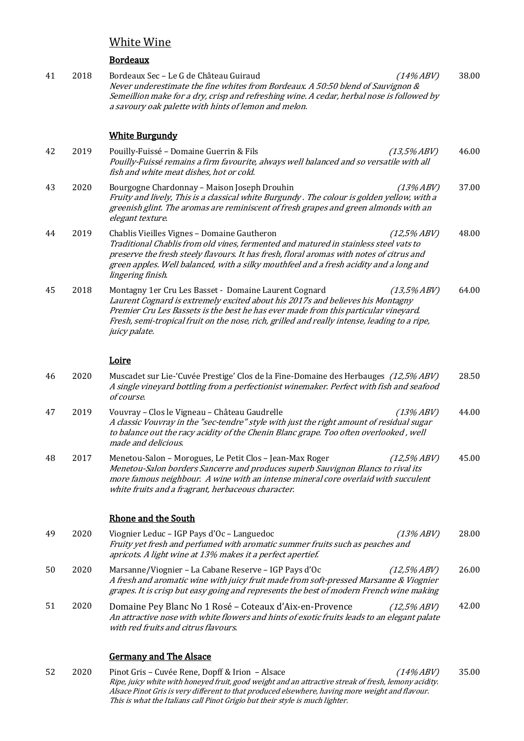# White Wine

#### Bordeaux

41 2018 Bordeaux Sec – Le G de Château Guiraud (14% ABV) Never underestimate the fine whites from Bordeaux. A 50:50 blend of Sauvignon  $\&$ Semeillion make for a dry, crisp and refreshing wine. A cedar, herbal nose is followed by a savoury oak palette with hints of lemon and melon. 38.00

#### **White Burgundy**

- 42 2019 Pouilly-Fuissé Domaine Guerrin & Fils **Comee Comee Comee Comee Comee Comee Comee Comee Comee Comee Comee Comee Comee Comee Comee Comee Comee Comee Comee Comee Comee Comee Comee Comee Comee Comee Comee Comee Comee** Pouilly-Fuissé remains a firm favourite, always well balanced and so versatile with all fish and white meat dishes, hot or cold. 46.00 43 2020 Bourgogne Chardonnay – Maison Joseph Drouhin (13% ABV) Fruity and lively, This is a classical white Burgundy . The colour is golden yellow, with a greenish glint. The aromas are reminiscent of fresh grapes and green almonds with an elegant texture. 37.00 44 2019 Chablis Vieilles Vignes – Domaine Gautheron (12,5% ABV) Traditional Chablis from old vines, fermented and matured in stainless steel vats to preserve the fresh steely flavours. It has fresh, floral aromas with notes of citrus and green apples. Well balanced, with a silky mouthfeel and a fresh acidity and a long and lingering finish. 48.00 45 2018 Montagny 1er Cru Les Basset - Domaine Laurent Cognard (13,5% ABV) Laurent Cognard is extremely excited about his 2017s and believes his Montagny 64.00
- Premier Cru Les Bassets is the best he has ever made from this particular vineyard. Fresh, semi-tropical fruit on the nose, rich, grilled and really intense, leading to a ripe, juicy palate.

Loire

- 46 2020 Muscadet sur Lie-'Cuvée Prestige' Clos de la Fine-Domaine des Herbauges (12,5% ABV) A single vineyard bottling from a perfectionist winemaker. Perfect with fish and seafood of course. 28.50
- 47 2019 Vouvray Clos le Vigneau Château Gaudrelle (13% ABV) A classic Vouvray in the "sec-tendre" style with just the right amount of residual sugar to balance out the racy acidity of the Chenin Blanc grape. Too often overlooked, well made and delicious. 44.00
- 48 2017 Menetou-Salon Morogues, Le Petit Clos Jean-Max Roger (12,5% ABV) Menetou-Salon borders Sancerre and produces superb Sauvignon Blancs to rival its more famous neighbour. A wine with an intense mineral core overlaid with succulent white fruits and a fragrant, herbaceous character. 45.00

#### Rhone and the South

- 49 2020 Viognier Leduc IGP Pays d'Oc Languedoc (13% ABV) Fruity yet fresh and perfumed with aromatic summer fruits such as peaches and apricots. A light wine at 13% makes it a perfect apertief. 28.00
- 50 2020 Marsanne/Viognier – La Cabane Reserve – IGP Pays d'Oc (12,5% ABV) A fresh and aromatic wine with juicy fruit made from soft-pressed Marsanne & Viognier grapes. It is crisp but easy going and represents the best of modern French wine making 26.00
- 51 2020 Domaine Pey Blanc No 1 Rosé Coteaux d'Aix-en-Provence (12,5% ABV) An attractive nose with white flowers and hints of exotic fruits leads to an elegant palate with red fruits and citrus flavours. 42.00

#### Germany and The Alsace

52 2020 Pinot Gris – Cuvée Rene, Dopff & Irion – Alsace (14% ABV) Ripe, juicy white with honeyed fruit, good weight and an attractive streak of fresh, lemony acidity. Alsace Pinot Gris is very different to that produced elsewhere, having more weight and flavour. This is what the Italians call Pinot Grigio but their style is much lighter. 35.00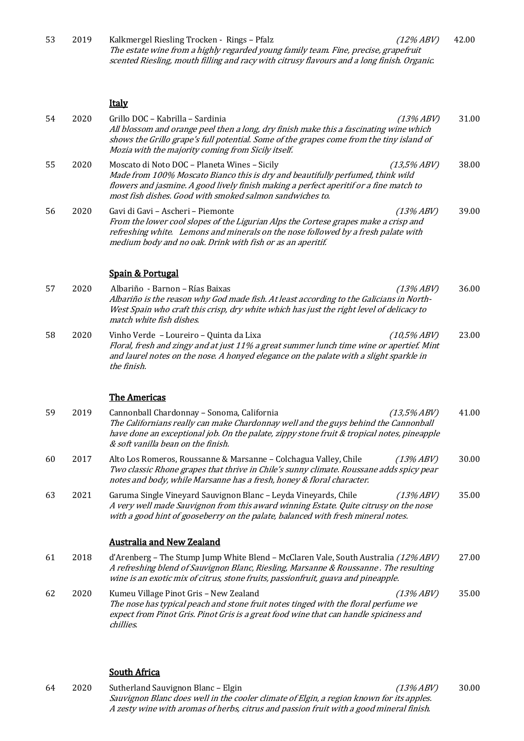| 53 | 2019 | Kalkmergel Riesling Trocken - Rings - Pfalz<br>$(12\% ABV)$<br>The estate wine from a highly regarded young family team. Fine, precise, grapefruit<br>scented Riesling, mouth filling and racy with citrusy flavours and a long finish. Organic.                                                   | 42.00 |
|----|------|----------------------------------------------------------------------------------------------------------------------------------------------------------------------------------------------------------------------------------------------------------------------------------------------------|-------|
|    |      | <b>Italy</b>                                                                                                                                                                                                                                                                                       |       |
| 54 | 2020 | Grillo DOC - Kabrilla - Sardinia<br>$(13\% ABV)$<br>All blossom and orange peel then a long, dry finish make this a fascinating wine which<br>shows the Grillo grape's full potential. Some of the grapes come from the tiny island of<br>Mozia with the majority coming from Sicily itself.       | 31.00 |
| 55 | 2020 | Moscato di Noto DOC - Planeta Wines - Sicily<br>(13,5%ABV)<br>Made from 100% Moscato Bianco this is dry and beautifully perfumed, think wild<br>flowers and jasmine. A good lively finish making a perfect aperitif or a fine match to<br>most fish dishes. Good with smoked salmon sandwiches to. | 38.00 |
| 56 | 2020 | Gavi di Gavi - Ascheri - Piemonte<br>$(13\% ABV)$<br>From the lower cool slopes of the Ligurian Alps the Cortese grapes make a crisp and<br>refreshing white. Lemons and minerals on the nose followed by a fresh palate with<br>medium body and no oak. Drink with fish or as an aperitif.        | 39.00 |
|    |      | <b>Spain &amp; Portugal</b>                                                                                                                                                                                                                                                                        |       |
| 57 | 2020 | Albariño - Barnon - Rías Baixas<br>$(13\% ABV)$<br>Albariño is the reason why God made fish. At least according to the Galicians in North-<br>West Spain who craft this crisp, dry white which has just the right level of delicacy to<br>match white fish dishes.                                 | 36.00 |
| 58 | 2020 | Vinho Verde - Loureiro - Quinta da Lixa<br>$(10,5\% ABV)$<br>Floral, fresh and zingy and at just 11% a great summer lunch time wine or apertief. Mint<br>and laurel notes on the nose. A honyed elegance on the palate with a slight sparkle in<br>the finish.                                     | 23.00 |
|    |      | <b>The Americas</b>                                                                                                                                                                                                                                                                                |       |
| 59 | 2019 | Cannonball Chardonnay - Sonoma, California<br>(13,5%ABV)<br>The Californians really can make Chardonnay well and the guys behind the Cannonball<br>have done an exceptional job. On the palate, zippy stone fruit & tropical notes, pineapple<br>& soft vanilla bean on the finish.                | 41.00 |
| 60 | 2017 | Alto Los Romeros, Roussanne & Marsanne - Colchagua Valley, Chile<br>$(13\% ABV)$<br>Two classic Rhone grapes that thrive in Chile's sunny climate. Roussane adds spicy pear<br>notes and body, while Marsanne has a fresh, honey & floral character.                                               | 30.00 |
| 63 | 2021 | Garuma Single Vineyard Sauvignon Blanc - Leyda Vineyards, Chile<br>$(13\% ABV)$<br>A very well made Sauvignon from this award winning Estate. Quite citrusy on the nose<br>with a good hint of gooseberry on the palate, balanced with fresh mineral notes.                                        | 35.00 |
|    |      | <b>Australia and New Zealand</b>                                                                                                                                                                                                                                                                   |       |
| 61 | 2018 | d'Arenberg - The Stump Jump White Blend - McClaren Vale, South Australia (12% ABV)<br>A refreshing blend of Sauvignon Blanc, Riesling, Marsanne & Roussanne . The resulting<br>wine is an exotic mix of citrus, stone fruits, passionfruit, guava and pineapple.                                   | 27.00 |
| 62 | 2020 | Kumeu Village Pinot Gris - New Zealand<br>$(13\% ABV)$<br>The nose has typical peach and stone fruit notes tinged with the floral perfume we<br>expect from Pinot Gris. Pinot Gris is a great food wine that can handle spiciness and<br>chillies.                                                 | 35.00 |

## **South Africa**

64 2020 Sutherland Sauvignon Blanc - Elgin (13% ABV) Sauvignon Blanc does well in the cooler climate of Elgin, a region known for its apples. A zesty wine with aromas of herbs, citrus and passion fruit with a good mineral finish. 30.00